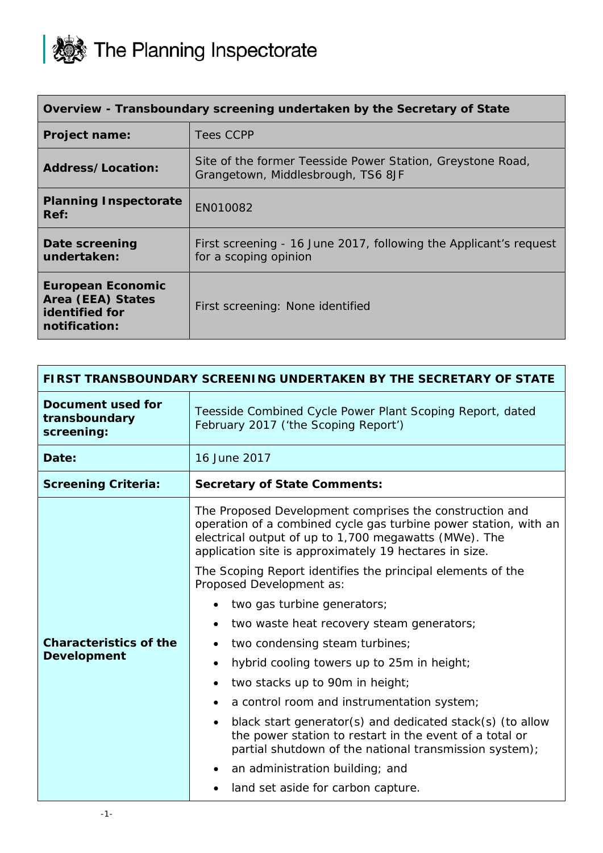

| Overview - Transboundary screening undertaken by the Secretary of State          |                                                                                                  |
|----------------------------------------------------------------------------------|--------------------------------------------------------------------------------------------------|
| <b>Project name:</b>                                                             | Tees CCPP                                                                                        |
| Address/Location:                                                                | Site of the former Teesside Power Station, Greystone Road,<br>Grangetown, Middlesbrough, TS6 8JF |
| <b>Planning Inspectorate</b><br>Ref:                                             | EN010082                                                                                         |
| Date screening<br>undertaken:                                                    | First screening - 16 June 2017, following the Applicant's request<br>for a scoping opinion       |
| <b>European Economic</b><br>Area (EEA) States<br>identified for<br>notification: | First screening: None identified                                                                 |

| FIRST TRANSBOUNDARY SCREENING UNDERTAKEN BY THE SECRETARY OF STATE |                                                                                                                                                                                                                                                                                                               |
|--------------------------------------------------------------------|---------------------------------------------------------------------------------------------------------------------------------------------------------------------------------------------------------------------------------------------------------------------------------------------------------------|
| <b>Document used for</b><br>transboundary<br>screening:            | Teesside Combined Cycle Power Plant Scoping Report, dated<br>February 2017 ('the Scoping Report')                                                                                                                                                                                                             |
| Date:                                                              | 16 June 2017                                                                                                                                                                                                                                                                                                  |
| <b>Screening Criteria:</b>                                         | <b>Secretary of State Comments:</b>                                                                                                                                                                                                                                                                           |
|                                                                    | The Proposed Development comprises the construction and<br>operation of a combined cycle gas turbine power station, with an<br>electrical output of up to 1,700 megawatts (MWe). The<br>application site is approximately 19 hectares in size.<br>The Scoping Report identifies the principal elements of the |
|                                                                    | Proposed Development as:<br>two gas turbine generators;                                                                                                                                                                                                                                                       |
|                                                                    | two waste heat recovery steam generators;                                                                                                                                                                                                                                                                     |
| <b>Characteristics of the</b>                                      | two condensing steam turbines;                                                                                                                                                                                                                                                                                |
| <b>Development</b>                                                 | hybrid cooling towers up to 25m in height;                                                                                                                                                                                                                                                                    |
|                                                                    | two stacks up to 90m in height;                                                                                                                                                                                                                                                                               |
|                                                                    | a control room and instrumentation system;                                                                                                                                                                                                                                                                    |
|                                                                    | black start generator(s) and dedicated stack(s) (to allow<br>the power station to restart in the event of a total or<br>partial shutdown of the national transmission system);                                                                                                                                |
|                                                                    | an administration building; and                                                                                                                                                                                                                                                                               |
|                                                                    | land set aside for carbon capture.                                                                                                                                                                                                                                                                            |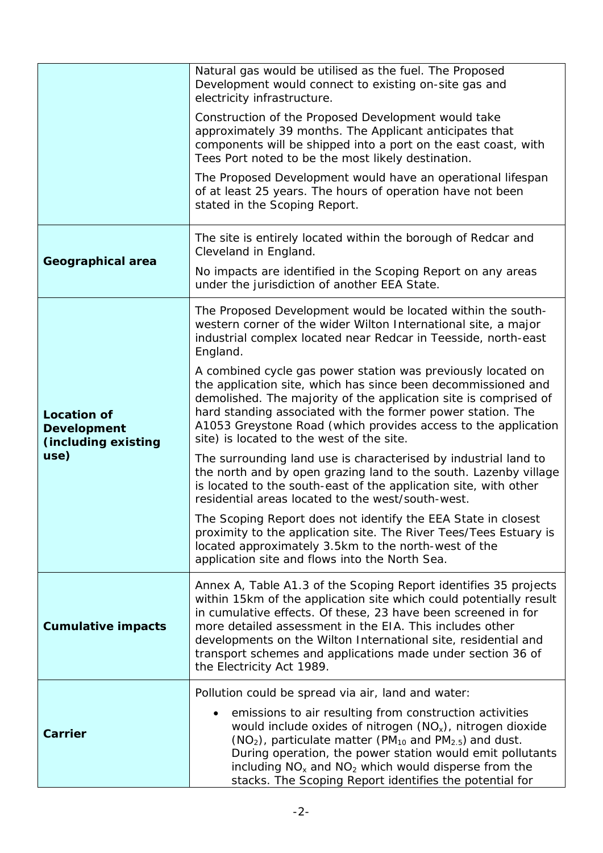|                                                                         | Natural gas would be utilised as the fuel. The Proposed<br>Development would connect to existing on-site gas and<br>electricity infrastructure.                                                                                                                                                                                                                                                                                   |
|-------------------------------------------------------------------------|-----------------------------------------------------------------------------------------------------------------------------------------------------------------------------------------------------------------------------------------------------------------------------------------------------------------------------------------------------------------------------------------------------------------------------------|
|                                                                         | Construction of the Proposed Development would take<br>approximately 39 months. The Applicant anticipates that<br>components will be shipped into a port on the east coast, with<br>Tees Port noted to be the most likely destination.                                                                                                                                                                                            |
|                                                                         | The Proposed Development would have an operational lifespan<br>of at least 25 years. The hours of operation have not been<br>stated in the Scoping Report.                                                                                                                                                                                                                                                                        |
| Geographical area                                                       | The site is entirely located within the borough of Redcar and<br>Cleveland in England.                                                                                                                                                                                                                                                                                                                                            |
|                                                                         | No impacts are identified in the Scoping Report on any areas<br>under the jurisdiction of another EEA State.                                                                                                                                                                                                                                                                                                                      |
| <b>Location of</b><br><b>Development</b><br>(including existing<br>use) | The Proposed Development would be located within the south-<br>western corner of the wider Wilton International site, a major<br>industrial complex located near Redcar in Teesside, north-east<br>England.                                                                                                                                                                                                                       |
|                                                                         | A combined cycle gas power station was previously located on<br>the application site, which has since been decommissioned and<br>demolished. The majority of the application site is comprised of<br>hard standing associated with the former power station. The<br>A1053 Greystone Road (which provides access to the application<br>site) is located to the west of the site.                                                   |
|                                                                         | The surrounding land use is characterised by industrial land to<br>the north and by open grazing land to the south. Lazenby village<br>is located to the south-east of the application site, with other<br>residential areas located to the west/south-west.                                                                                                                                                                      |
|                                                                         | The Scoping Report does not identify the EEA State in closest<br>proximity to the application site. The River Tees/Tees Estuary is<br>located approximately 3.5km to the north-west of the<br>application site and flows into the North Sea.                                                                                                                                                                                      |
| <b>Cumulative impacts</b>                                               | Annex A, Table A1.3 of the Scoping Report identifies 35 projects<br>within 15km of the application site which could potentially result<br>in cumulative effects. Of these, 23 have been screened in for<br>more detailed assessment in the EIA. This includes other<br>developments on the Wilton International site, residential and<br>transport schemes and applications made under section 36 of<br>the Electricity Act 1989. |
| <b>Carrier</b>                                                          | Pollution could be spread via air, land and water:                                                                                                                                                                                                                                                                                                                                                                                |
|                                                                         | emissions to air resulting from construction activities<br>would include oxides of nitrogen $(NO_x)$ , nitrogen dioxide<br>$(NO2)$ , particulate matter (PM <sub>10</sub> and PM <sub>2.5</sub> ) and dust.<br>During operation, the power station would emit pollutants<br>including $NOx$ and $NO2$ which would disperse from the<br>stacks. The Scoping Report identifies the potential for                                    |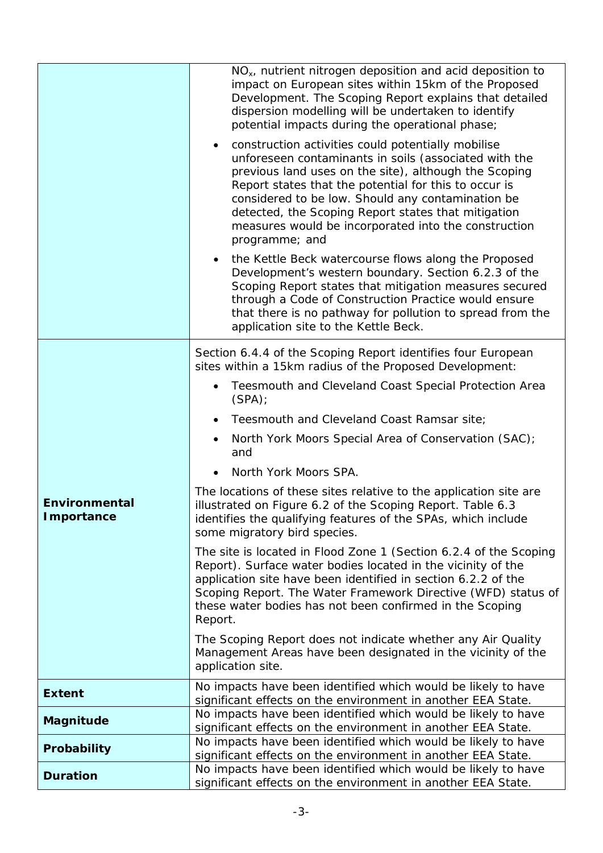|                                    | NO <sub>x</sub> , nutrient nitrogen deposition and acid deposition to<br>impact on European sites within 15km of the Proposed<br>Development. The Scoping Report explains that detailed<br>dispersion modelling will be undertaken to identify<br>potential impacts during the operational phase;                                                                                                                   |
|------------------------------------|---------------------------------------------------------------------------------------------------------------------------------------------------------------------------------------------------------------------------------------------------------------------------------------------------------------------------------------------------------------------------------------------------------------------|
|                                    | construction activities could potentially mobilise<br>unforeseen contaminants in soils (associated with the<br>previous land uses on the site), although the Scoping<br>Report states that the potential for this to occur is<br>considered to be low. Should any contamination be<br>detected, the Scoping Report states that mitigation<br>measures would be incorporated into the construction<br>programme; and |
|                                    | the Kettle Beck watercourse flows along the Proposed<br>Development's western boundary. Section 6.2.3 of the<br>Scoping Report states that mitigation measures secured<br>through a Code of Construction Practice would ensure<br>that there is no pathway for pollution to spread from the<br>application site to the Kettle Beck.                                                                                 |
|                                    | Section 6.4.4 of the Scoping Report identifies four European<br>sites within a 15km radius of the Proposed Development:                                                                                                                                                                                                                                                                                             |
|                                    | Teesmouth and Cleveland Coast Special Protection Area<br>$\bullet$<br>(SPA)                                                                                                                                                                                                                                                                                                                                         |
|                                    | Teesmouth and Cleveland Coast Ramsar site;                                                                                                                                                                                                                                                                                                                                                                          |
|                                    | North York Moors Special Area of Conservation (SAC);<br>$\bullet$<br>and                                                                                                                                                                                                                                                                                                                                            |
|                                    | North York Moors SPA.                                                                                                                                                                                                                                                                                                                                                                                               |
| Environmental<br><b>Importance</b> | The locations of these sites relative to the application site are<br>illustrated on Figure 6.2 of the Scoping Report. Table 6.3<br>identifies the qualifying features of the SPAs, which include<br>some migratory bird species.                                                                                                                                                                                    |
|                                    | The site is located in Flood Zone 1 (Section 6.2.4 of the Scoping<br>Report). Surface water bodies located in the vicinity of the<br>application site have been identified in section 6.2.2 of the<br>Scoping Report. The Water Framework Directive (WFD) status of<br>these water bodies has not been confirmed in the Scoping<br>Report.                                                                          |
|                                    | The Scoping Report does not indicate whether any Air Quality<br>Management Areas have been designated in the vicinity of the<br>application site.                                                                                                                                                                                                                                                                   |
| <b>Extent</b>                      | No impacts have been identified which would be likely to have<br>significant effects on the environment in another EEA State.                                                                                                                                                                                                                                                                                       |
| Magnitude                          | No impacts have been identified which would be likely to have                                                                                                                                                                                                                                                                                                                                                       |
| Probability                        | significant effects on the environment in another EEA State.<br>No impacts have been identified which would be likely to have                                                                                                                                                                                                                                                                                       |
|                                    | significant effects on the environment in another EEA State.                                                                                                                                                                                                                                                                                                                                                        |
| <b>Duration</b>                    | No impacts have been identified which would be likely to have<br>significant effects on the environment in another EEA State.                                                                                                                                                                                                                                                                                       |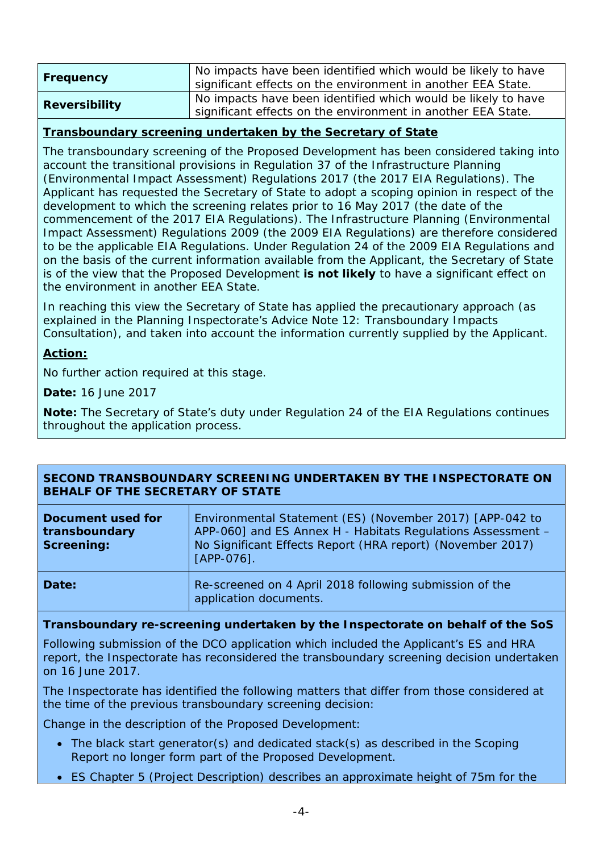| Frequency            | No impacts have been identified which would be likely to have<br>significant effects on the environment in another EEA State. |
|----------------------|-------------------------------------------------------------------------------------------------------------------------------|
| <b>Reversibility</b> | No impacts have been identified which would be likely to have<br>significant effects on the environment in another EEA State. |

## **Transboundary screening undertaken by the Secretary of State**

The transboundary screening of the Proposed Development has been considered taking into account the transitional provisions in Regulation 37 of the Infrastructure Planning (Environmental Impact Assessment) Regulations 2017 (the 2017 EIA Regulations). The Applicant has requested the Secretary of State to adopt a scoping opinion in respect of the development to which the screening relates prior to 16 May 2017 (the date of the commencement of the 2017 EIA Regulations). The Infrastructure Planning (Environmental Impact Assessment) Regulations 2009 (the 2009 EIA Regulations) are therefore considered to be the applicable EIA Regulations. Under Regulation 24 of the 2009 EIA Regulations and on the basis of the current information available from the Applicant, the Secretary of State is of the view that the Proposed Development **is not likely** to have a significant effect on the environment in another EEA State.

In reaching this view the Secretary of State has applied the precautionary approach (as explained in the Planning Inspectorate's Advice Note 12: Transboundary Impacts Consultation), and taken into account the information currently supplied by the Applicant.

## **Action:**

No further action required at this stage.

**Date:** 16 June 2017

**Note:** The Secretary of State's duty under Regulation 24 of the EIA Regulations continues throughout the application process.

| SECOND TRANSBOUNDARY SCREENING UNDERTAKEN BY THE INSPECTORATE ON |  |
|------------------------------------------------------------------|--|
| BEHALF OF THE SECRETARY OF STATE                                 |  |

| Document used for<br>transboundary<br><b>Screening:</b> | Environmental Statement (ES) (November 2017) [APP-042 to<br>APP-060] and ES Annex H - Habitats Regulations Assessment -<br>No Significant Effects Report (HRA report) (November 2017)<br>$[APP-076]$ . |
|---------------------------------------------------------|--------------------------------------------------------------------------------------------------------------------------------------------------------------------------------------------------------|
| Date:                                                   | Re-screened on 4 April 2018 following submission of the<br>application documents.                                                                                                                      |

## **Transboundary re-screening undertaken by the Inspectorate on behalf of the SoS**

Following submission of the DCO application which included the Applicant's ES and HRA report, the Inspectorate has reconsidered the transboundary screening decision undertaken on 16 June 2017.

The Inspectorate has identified the following matters that differ from those considered at the time of the previous transboundary screening decision:

Change in the description of the Proposed Development:

- The black start generator(s) and dedicated stack(s) as described in the Scoping Report no longer form part of the Proposed Development.
- ES Chapter 5 (Project Description) describes an approximate height of 75m for the